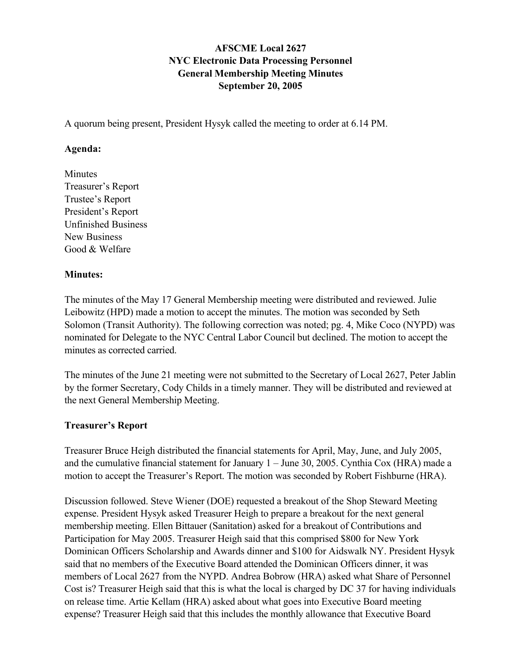## AFSCME Local 2627 NYC Electronic Data Processing Personnel General Membership Meeting Minutes September 20, 2005

A quorum being present, President Hysyk called the meeting to order at 6.14 PM.

#### Agenda:

Minutes Treasurer's Report Trustee's Report President's Report Unfinished Business New Business Good & Welfare

#### Minutes:

The minutes of the May 17 General Membership meeting were distributed and reviewed. Julie Leibowitz (HPD) made a motion to accept the minutes. The motion was seconded by Seth Solomon (Transit Authority). The following correction was noted; pg. 4, Mike Coco (NYPD) was nominated for Delegate to the NYC Central Labor Council but declined. The motion to accept the minutes as corrected carried.

The minutes of the June 21 meeting were not submitted to the Secretary of Local 2627, Peter Jablin by the former Secretary, Cody Childs in a timely manner. They will be distributed and reviewed at the next General Membership Meeting.

#### Treasurer's Report

Treasurer Bruce Heigh distributed the financial statements for April, May, June, and July 2005, and the cumulative financial statement for January 1 – June 30, 2005. Cynthia Cox (HRA) made a motion to accept the Treasurer's Report. The motion was seconded by Robert Fishburne (HRA).

Discussion followed. Steve Wiener (DOE) requested a breakout of the Shop Steward Meeting expense. President Hysyk asked Treasurer Heigh to prepare a breakout for the next general membership meeting. Ellen Bittauer (Sanitation) asked for a breakout of Contributions and Participation for May 2005. Treasurer Heigh said that this comprised \$800 for New York Dominican Officers Scholarship and Awards dinner and \$100 for Aidswalk NY. President Hysyk said that no members of the Executive Board attended the Dominican Officers dinner, it was members of Local 2627 from the NYPD. Andrea Bobrow (HRA) asked what Share of Personnel Cost is? Treasurer Heigh said that this is what the local is charged by DC 37 for having individuals on release time. Artie Kellam (HRA) asked about what goes into Executive Board meeting expense? Treasurer Heigh said that this includes the monthly allowance that Executive Board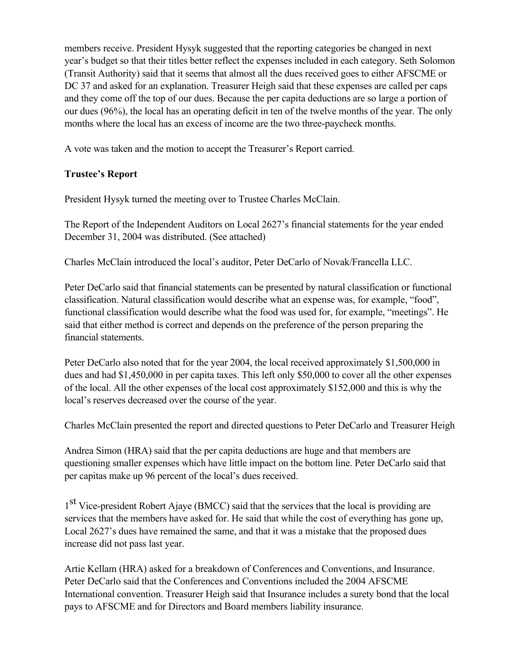members receive. President Hysyk suggested that the reporting categories be changed in next year's budget so that their titles better reflect the expenses included in each category. Seth Solomon (Transit Authority) said that it seems that almost all the dues received goes to either AFSCME or DC 37 and asked for an explanation. Treasurer Heigh said that these expenses are called per caps and they come off the top of our dues. Because the per capita deductions are so large a portion of our dues (96%), the local has an operating deficit in ten of the twelve months of the year. The only months where the local has an excess of income are the two three-paycheck months.

A vote was taken and the motion to accept the Treasurer's Report carried.

# Trustee's Report

President Hysyk turned the meeting over to Trustee Charles McClain.

The Report of the Independent Auditors on Local 2627's financial statements for the year ended December 31, 2004 was distributed. (See attached)

Charles McClain introduced the local's auditor, Peter DeCarlo of Novak/Francella LLC.

Peter DeCarlo said that financial statements can be presented by natural classification or functional classification. Natural classification would describe what an expense was, for example, "food", functional classification would describe what the food was used for, for example, "meetings". He said that either method is correct and depends on the preference of the person preparing the financial statements.

Peter DeCarlo also noted that for the year 2004, the local received approximately \$1,500,000 in dues and had \$1,450,000 in per capita taxes. This left only \$50,000 to cover all the other expenses of the local. All the other expenses of the local cost approximately \$152,000 and this is why the local's reserves decreased over the course of the year.

Charles McClain presented the report and directed questions to Peter DeCarlo and Treasurer Heigh

Andrea Simon (HRA) said that the per capita deductions are huge and that members are questioning smaller expenses which have little impact on the bottom line. Peter DeCarlo said that per capitas make up 96 percent of the local's dues received.

<sup>1st</sup> Vice-president Robert Ajaye (BMCC) said that the services that the local is providing are services that the members have asked for. He said that while the cost of everything has gone up, Local 2627's dues have remained the same, and that it was a mistake that the proposed dues increase did not pass last year.

Artie Kellam (HRA) asked for a breakdown of Conferences and Conventions, and Insurance. Peter DeCarlo said that the Conferences and Conventions included the 2004 AFSCME International convention. Treasurer Heigh said that Insurance includes a surety bond that the local pays to AFSCME and for Directors and Board members liability insurance.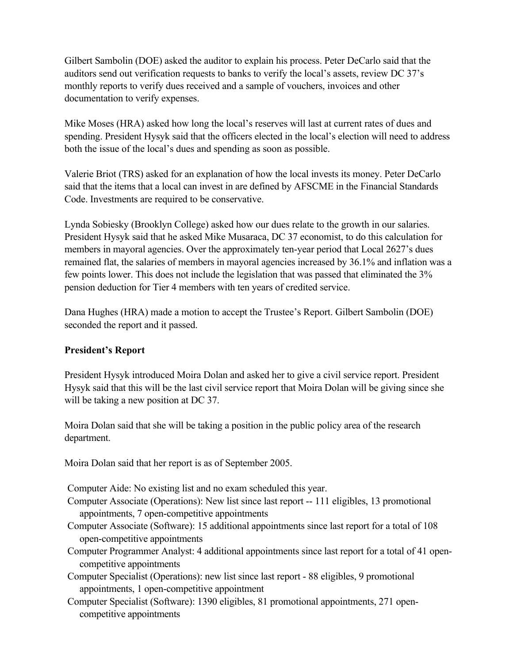Gilbert Sambolin (DOE) asked the auditor to explain his process. Peter DeCarlo said that the auditors send out verification requests to banks to verify the local's assets, review DC 37's monthly reports to verify dues received and a sample of vouchers, invoices and other documentation to verify expenses.

Mike Moses (HRA) asked how long the local's reserves will last at current rates of dues and spending. President Hysyk said that the officers elected in the local's election will need to address both the issue of the local's dues and spending as soon as possible.

Valerie Briot (TRS) asked for an explanation of how the local invests its money. Peter DeCarlo said that the items that a local can invest in are defined by AFSCME in the Financial Standards Code. Investments are required to be conservative.

Lynda Sobiesky (Brooklyn College) asked how our dues relate to the growth in our salaries. President Hysyk said that he asked Mike Musaraca, DC 37 economist, to do this calculation for members in mayoral agencies. Over the approximately ten-year period that Local 2627's dues remained flat, the salaries of members in mayoral agencies increased by 36.1% and inflation was a few points lower. This does not include the legislation that was passed that eliminated the 3% pension deduction for Tier 4 members with ten years of credited service.

Dana Hughes (HRA) made a motion to accept the Trustee's Report. Gilbert Sambolin (DOE) seconded the report and it passed.

#### President's Report

President Hysyk introduced Moira Dolan and asked her to give a civil service report. President Hysyk said that this will be the last civil service report that Moira Dolan will be giving since she will be taking a new position at DC 37.

Moira Dolan said that she will be taking a position in the public policy area of the research department.

Moira Dolan said that her report is as of September 2005.

Computer Aide: No existing list and no exam scheduled this year.

- Computer Associate (Operations): New list since last report -- 111 eligibles, 13 promotional appointments, 7 open-competitive appointments
- Computer Associate (Software): 15 additional appointments since last report for a total of 108 open-competitive appointments
- Computer Programmer Analyst: 4 additional appointments since last report for a total of 41 opencompetitive appointments
- Computer Specialist (Operations): new list since last report 88 eligibles, 9 promotional appointments, 1 open-competitive appointment
- Computer Specialist (Software): 1390 eligibles, 81 promotional appointments, 271 opencompetitive appointments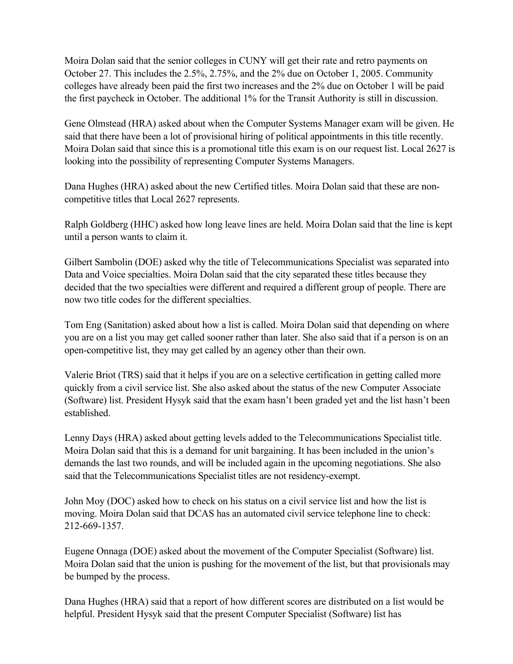Moira Dolan said that the senior colleges in CUNY will get their rate and retro payments on October 27. This includes the 2.5%, 2.75%, and the 2% due on October 1, 2005. Community colleges have already been paid the first two increases and the 2% due on October 1 will be paid the first paycheck in October. The additional 1% for the Transit Authority is still in discussion.

Gene Olmstead (HRA) asked about when the Computer Systems Manager exam will be given. He said that there have been a lot of provisional hiring of political appointments in this title recently. Moira Dolan said that since this is a promotional title this exam is on our request list. Local 2627 is looking into the possibility of representing Computer Systems Managers.

Dana Hughes (HRA) asked about the new Certified titles. Moira Dolan said that these are noncompetitive titles that Local 2627 represents.

Ralph Goldberg (HHC) asked how long leave lines are held. Moira Dolan said that the line is kept until a person wants to claim it.

Gilbert Sambolin (DOE) asked why the title of Telecommunications Specialist was separated into Data and Voice specialties. Moira Dolan said that the city separated these titles because they decided that the two specialties were different and required a different group of people. There are now two title codes for the different specialties.

Tom Eng (Sanitation) asked about how a list is called. Moira Dolan said that depending on where you are on a list you may get called sooner rather than later. She also said that if a person is on an open-competitive list, they may get called by an agency other than their own.

Valerie Briot (TRS) said that it helps if you are on a selective certification in getting called more quickly from a civil service list. She also asked about the status of the new Computer Associate (Software) list. President Hysyk said that the exam hasn't been graded yet and the list hasn't been established.

Lenny Days (HRA) asked about getting levels added to the Telecommunications Specialist title. Moira Dolan said that this is a demand for unit bargaining. It has been included in the union's demands the last two rounds, and will be included again in the upcoming negotiations. She also said that the Telecommunications Specialist titles are not residency-exempt.

John Moy (DOC) asked how to check on his status on a civil service list and how the list is moving. Moira Dolan said that DCAS has an automated civil service telephone line to check: 212-669-1357.

Eugene Onnaga (DOE) asked about the movement of the Computer Specialist (Software) list. Moira Dolan said that the union is pushing for the movement of the list, but that provisionals may be bumped by the process.

Dana Hughes (HRA) said that a report of how different scores are distributed on a list would be helpful. President Hysyk said that the present Computer Specialist (Software) list has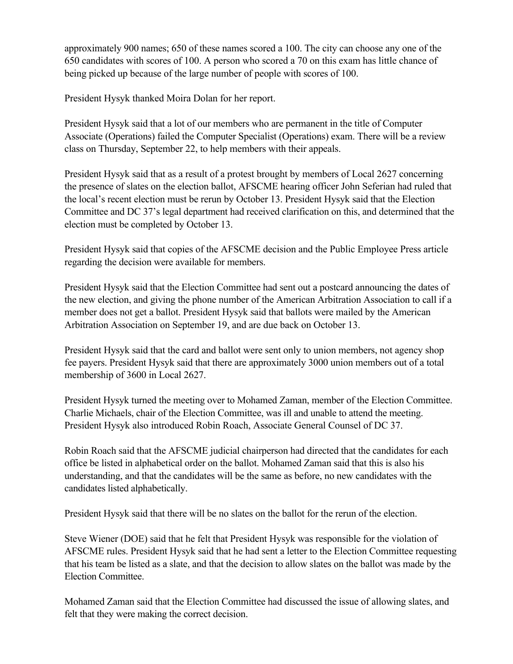approximately 900 names; 650 of these names scored a 100. The city can choose any one of the 650 candidates with scores of 100. A person who scored a 70 on this exam has little chance of being picked up because of the large number of people with scores of 100.

President Hysyk thanked Moira Dolan for her report.

President Hysyk said that a lot of our members who are permanent in the title of Computer Associate (Operations) failed the Computer Specialist (Operations) exam. There will be a review class on Thursday, September 22, to help members with their appeals.

President Hysyk said that as a result of a protest brought by members of Local 2627 concerning the presence of slates on the election ballot, AFSCME hearing officer John Seferian had ruled that the local's recent election must be rerun by October 13. President Hysyk said that the Election Committee and DC 37's legal department had received clarification on this, and determined that the election must be completed by October 13.

President Hysyk said that copies of the AFSCME decision and the Public Employee Press article regarding the decision were available for members.

President Hysyk said that the Election Committee had sent out a postcard announcing the dates of the new election, and giving the phone number of the American Arbitration Association to call if a member does not get a ballot. President Hysyk said that ballots were mailed by the American Arbitration Association on September 19, and are due back on October 13.

President Hysyk said that the card and ballot were sent only to union members, not agency shop fee payers. President Hysyk said that there are approximately 3000 union members out of a total membership of 3600 in Local 2627.

President Hysyk turned the meeting over to Mohamed Zaman, member of the Election Committee. Charlie Michaels, chair of the Election Committee, was ill and unable to attend the meeting. President Hysyk also introduced Robin Roach, Associate General Counsel of DC 37.

Robin Roach said that the AFSCME judicial chairperson had directed that the candidates for each office be listed in alphabetical order on the ballot. Mohamed Zaman said that this is also his understanding, and that the candidates will be the same as before, no new candidates with the candidates listed alphabetically.

President Hysyk said that there will be no slates on the ballot for the rerun of the election.

Steve Wiener (DOE) said that he felt that President Hysyk was responsible for the violation of AFSCME rules. President Hysyk said that he had sent a letter to the Election Committee requesting that his team be listed as a slate, and that the decision to allow slates on the ballot was made by the Election Committee.

Mohamed Zaman said that the Election Committee had discussed the issue of allowing slates, and felt that they were making the correct decision.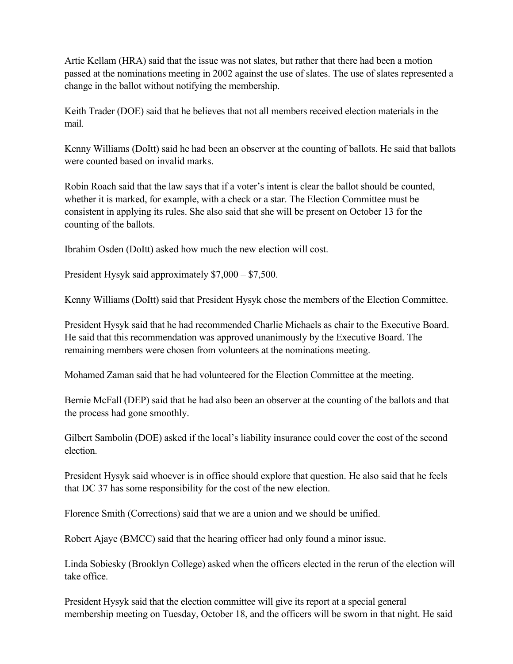Artie Kellam (HRA) said that the issue was not slates, but rather that there had been a motion passed at the nominations meeting in 2002 against the use of slates. The use of slates represented a change in the ballot without notifying the membership.

Keith Trader (DOE) said that he believes that not all members received election materials in the mail.

Kenny Williams (DoItt) said he had been an observer at the counting of ballots. He said that ballots were counted based on invalid marks.

Robin Roach said that the law says that if a voter's intent is clear the ballot should be counted, whether it is marked, for example, with a check or a star. The Election Committee must be consistent in applying its rules. She also said that she will be present on October 13 for the counting of the ballots.

Ibrahim Osden (DoItt) asked how much the new election will cost.

President Hysyk said approximately \$7,000 – \$7,500.

Kenny Williams (DoItt) said that President Hysyk chose the members of the Election Committee.

President Hysyk said that he had recommended Charlie Michaels as chair to the Executive Board. He said that this recommendation was approved unanimously by the Executive Board. The remaining members were chosen from volunteers at the nominations meeting.

Mohamed Zaman said that he had volunteered for the Election Committee at the meeting.

Bernie McFall (DEP) said that he had also been an observer at the counting of the ballots and that the process had gone smoothly.

Gilbert Sambolin (DOE) asked if the local's liability insurance could cover the cost of the second election.

President Hysyk said whoever is in office should explore that question. He also said that he feels that DC 37 has some responsibility for the cost of the new election.

Florence Smith (Corrections) said that we are a union and we should be unified.

Robert Ajaye (BMCC) said that the hearing officer had only found a minor issue.

Linda Sobiesky (Brooklyn College) asked when the officers elected in the rerun of the election will take office.

President Hysyk said that the election committee will give its report at a special general membership meeting on Tuesday, October 18, and the officers will be sworn in that night. He said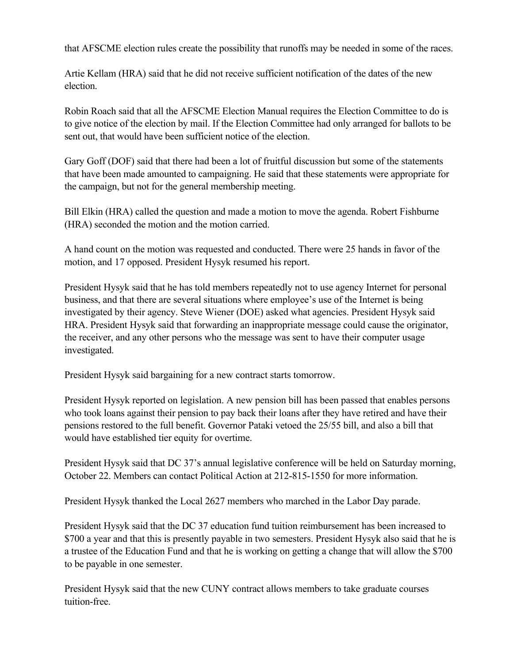that AFSCME election rules create the possibility that runoffs may be needed in some of the races.

Artie Kellam (HRA) said that he did not receive sufficient notification of the dates of the new election.

Robin Roach said that all the AFSCME Election Manual requires the Election Committee to do is to give notice of the election by mail. If the Election Committee had only arranged for ballots to be sent out, that would have been sufficient notice of the election.

Gary Goff (DOF) said that there had been a lot of fruitful discussion but some of the statements that have been made amounted to campaigning. He said that these statements were appropriate for the campaign, but not for the general membership meeting.

Bill Elkin (HRA) called the question and made a motion to move the agenda. Robert Fishburne (HRA) seconded the motion and the motion carried.

A hand count on the motion was requested and conducted. There were 25 hands in favor of the motion, and 17 opposed. President Hysyk resumed his report.

President Hysyk said that he has told members repeatedly not to use agency Internet for personal business, and that there are several situations where employee's use of the Internet is being investigated by their agency. Steve Wiener (DOE) asked what agencies. President Hysyk said HRA. President Hysyk said that forwarding an inappropriate message could cause the originator, the receiver, and any other persons who the message was sent to have their computer usage investigated.

President Hysyk said bargaining for a new contract starts tomorrow.

President Hysyk reported on legislation. A new pension bill has been passed that enables persons who took loans against their pension to pay back their loans after they have retired and have their pensions restored to the full benefit. Governor Pataki vetoed the 25/55 bill, and also a bill that would have established tier equity for overtime.

President Hysyk said that DC 37's annual legislative conference will be held on Saturday morning, October 22. Members can contact Political Action at 212-815-1550 for more information.

President Hysyk thanked the Local 2627 members who marched in the Labor Day parade.

President Hysyk said that the DC 37 education fund tuition reimbursement has been increased to \$700 a year and that this is presently payable in two semesters. President Hysyk also said that he is a trustee of the Education Fund and that he is working on getting a change that will allow the \$700 to be payable in one semester.

President Hysyk said that the new CUNY contract allows members to take graduate courses tuition-free.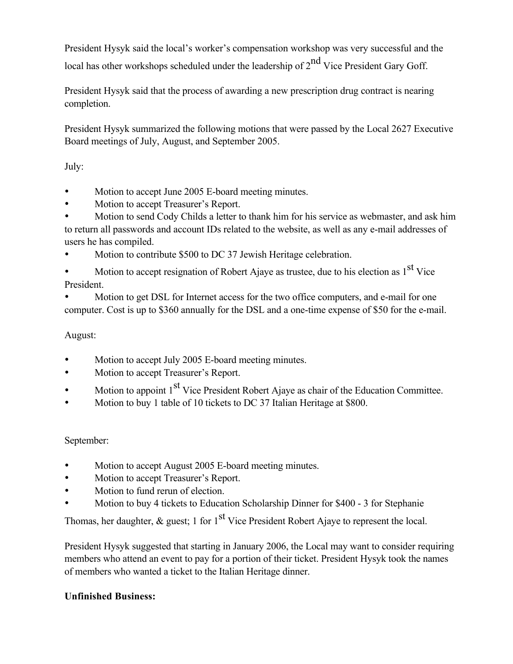President Hysyk said the local's worker's compensation workshop was very successful and the local has other workshops scheduled under the leadership of  $2^{nd}$  Vice President Gary Goff.

President Hysyk said that the process of awarding a new prescription drug contract is nearing completion.

President Hysyk summarized the following motions that were passed by the Local 2627 Executive Board meetings of July, August, and September 2005.

July:

- Motion to accept June 2005 E-board meeting minutes.
- Motion to accept Treasurer's Report.
- Motion to send Cody Childs a letter to thank him for his service as webmaster, and ask him to return all passwords and account IDs related to the website, as well as any e-mail addresses of users he has compiled.
- Motion to contribute \$500 to DC 37 Jewish Heritage celebration.

• Motion to accept resignation of Robert Ajaye as trustee, due to his election as 1<sup>st</sup> Vice President.

• Motion to get DSL for Internet access for the two office computers, and e-mail for one computer. Cost is up to \$360 annually for the DSL and a one-time expense of \$50 for the e-mail.

## August:

- Motion to accept July 2005 E-board meeting minutes.
- Motion to accept Treasurer's Report.
- Motion to appoint 1<sup>st</sup> Vice President Robert Ajaye as chair of the Education Committee.
- Motion to buy 1 table of 10 tickets to DC 37 Italian Heritage at \$800.

## September:

- Motion to accept August 2005 E-board meeting minutes.
- Motion to accept Treasurer's Report.
- Motion to fund rerun of election.
- Motion to buy 4 tickets to Education Scholarship Dinner for \$400 3 for Stephanie

Thomas, her daughter,  $\&$  guest; 1 for 1<sup>st</sup> Vice President Robert Ajaye to represent the local.

President Hysyk suggested that starting in January 2006, the Local may want to consider requiring members who attend an event to pay for a portion of their ticket. President Hysyk took the names of members who wanted a ticket to the Italian Heritage dinner.

## Unfinished Business: